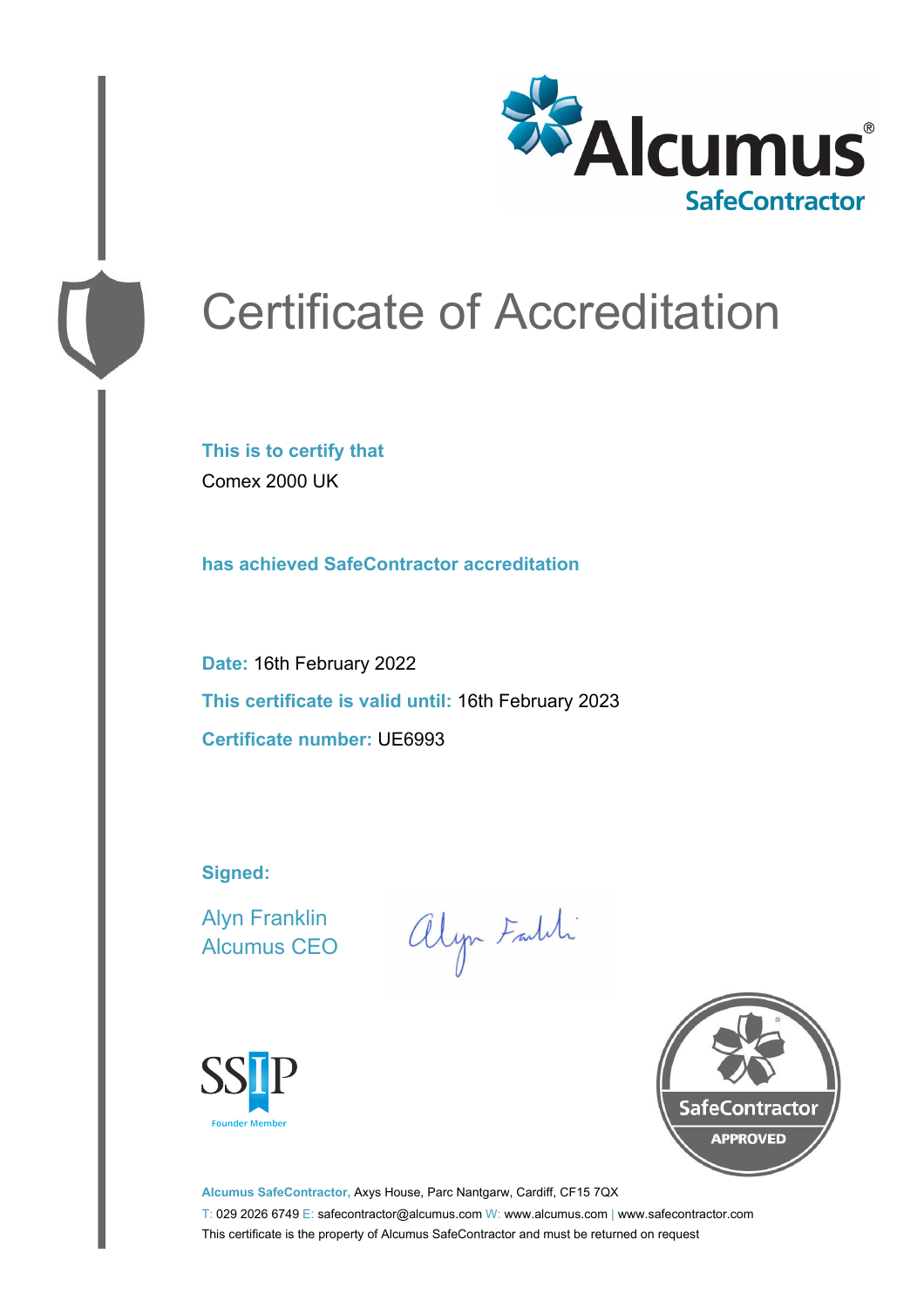

# Certificate of Accreditation

**This is to certify that** Comex 2000 UK

**has achieved SafeContractor accreditation**

**Date:** 16th February 2022 **This certificate is valid until:** 16th February 2023 **Certificate number:** UE6993

**Signed:**

Alyn Franklin Alcumus CEO

alyn Faith





**Alcumus SafeContractor,** Axys House, Parc Nantgarw, Cardiff, CF15 7QX T: 029 2026 6749 E: safecontractor@alcumus.com W: www.alcumus.com | www.safecontractor.com This certificate is the property of Alcumus SafeContractor and must be returned on request